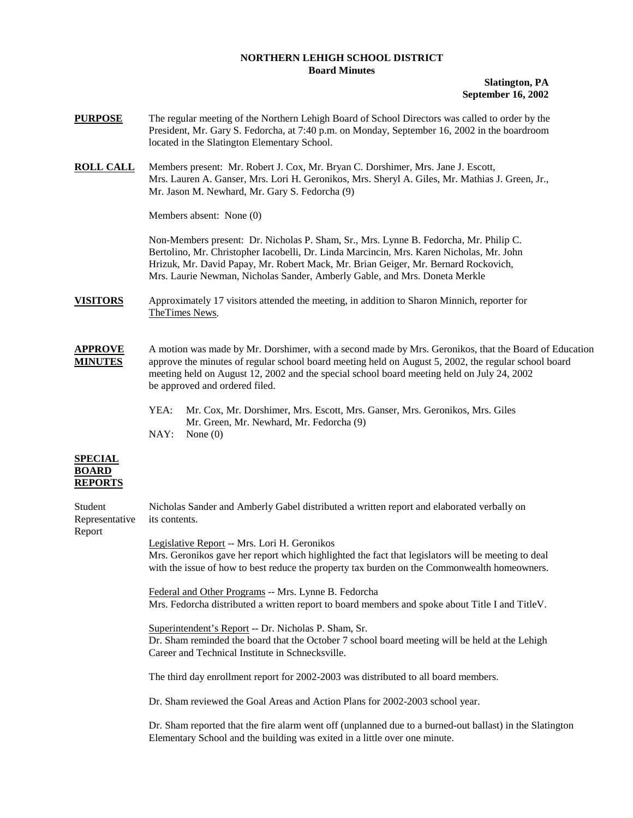## **NORTHERN LEHIGH SCHOOL DISTRICT Board Minutes**

**Slatington, PA September 16, 2002** 

- **PURPOSE** The regular meeting of the Northern Lehigh Board of School Directors was called to order by the President, Mr. Gary S. Fedorcha, at 7:40 p.m. on Monday, September 16, 2002 in the boardroom located in the Slatington Elementary School.
- **ROLL CALL** Members present: Mr. Robert J. Cox, Mr. Bryan C. Dorshimer, Mrs. Jane J. Escott, Mrs. Lauren A. Ganser, Mrs. Lori H. Geronikos, Mrs. Sheryl A. Giles, Mr. Mathias J. Green, Jr., Mr. Jason M. Newhard, Mr. Gary S. Fedorcha (9)

Members absent: None (0)

Non-Members present: Dr. Nicholas P. Sham, Sr., Mrs. Lynne B. Fedorcha, Mr. Philip C. Bertolino, Mr. Christopher Iacobelli, Dr. Linda Marcincin, Mrs. Karen Nicholas, Mr. John Hrizuk, Mr. David Papay, Mr. Robert Mack, Mr. Brian Geiger, Mr. Bernard Rockovich, Mrs. Laurie Newman, Nicholas Sander, Amberly Gable, and Mrs. Doneta Merkle

**VISITORS** Approximately 17 visitors attended the meeting, in addition to Sharon Minnich, reporter for TheTimes News.

**APPROVE** A motion was made by Mr. Dorshimer, with a second made by Mrs. Geronikos, that the Board of Education **MINUTES** approve the minutes of regular school board meeting held on August 5, 2002, the regular school board meeting held on August 12, 2002 and the special school board meeting held on July 24, 2002 be approved and ordered filed.

> YEA: Mr. Cox, Mr. Dorshimer, Mrs. Escott, Mrs. Ganser, Mrs. Geronikos, Mrs. Giles Mr. Green, Mr. Newhard, Mr. Fedorcha (9) NAY: None (0)

## **SPECIAL BOARD REPORTS**

| Student<br>Representative | Nicholas Sander and Amberly Gabel distributed a written report and elaborated verbally on<br>its contents.                                                                                                                                         |
|---------------------------|----------------------------------------------------------------------------------------------------------------------------------------------------------------------------------------------------------------------------------------------------|
| Report                    | Legislative Report -- Mrs. Lori H. Geronikos<br>Mrs. Geronikos gave her report which highlighted the fact that legislators will be meeting to deal<br>with the issue of how to best reduce the property tax burden on the Commonwealth homeowners. |
|                           | Federal and Other Programs -- Mrs. Lynne B. Fedorcha<br>Mrs. Fedorcha distributed a written report to board members and spoke about Title I and Title V.                                                                                           |
|                           | Superintendent's Report -- Dr. Nicholas P. Sham, Sr.<br>Dr. Sham reminded the board that the October 7 school board meeting will be held at the Lehigh<br>Career and Technical Institute in Schnecksville.                                         |
|                           | The third day enrollment report for 2002-2003 was distributed to all board members.                                                                                                                                                                |
|                           | Dr. Sham reviewed the Goal Areas and Action Plans for 2002-2003 school year.                                                                                                                                                                       |
|                           | Dr. Sham reported that the fire alarm went off (unplanned due to a burned-out ballast) in the Slatington<br>Elementary School and the building was exited in a little over one minute.                                                             |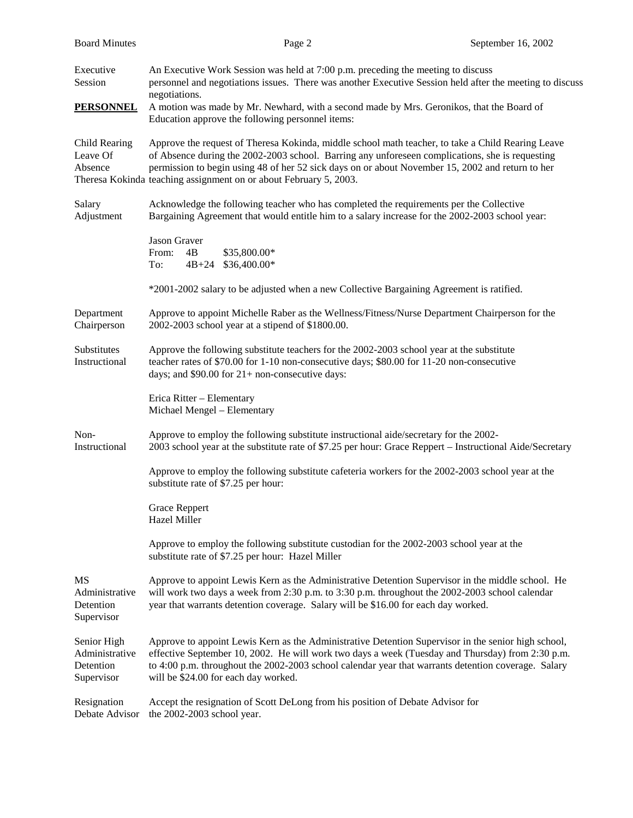| <b>Board Minutes</b>                                     | Page 2                                                                                                                                                                                                                                                                                                                                                                        | September 16, 2002 |  |
|----------------------------------------------------------|-------------------------------------------------------------------------------------------------------------------------------------------------------------------------------------------------------------------------------------------------------------------------------------------------------------------------------------------------------------------------------|--------------------|--|
| Executive<br>Session                                     | An Executive Work Session was held at 7:00 p.m. preceding the meeting to discuss<br>personnel and negotiations issues. There was another Executive Session held after the meeting to discuss<br>negotiations.                                                                                                                                                                 |                    |  |
| <b>PERSONNEL</b>                                         | A motion was made by Mr. Newhard, with a second made by Mrs. Geronikos, that the Board of<br>Education approve the following personnel items:                                                                                                                                                                                                                                 |                    |  |
| Child Rearing<br>Leave Of<br>Absence                     | Approve the request of Theresa Kokinda, middle school math teacher, to take a Child Rearing Leave<br>of Absence during the 2002-2003 school. Barring any unforeseen complications, she is requesting<br>permission to begin using 48 of her 52 sick days on or about November 15, 2002 and return to her<br>Theresa Kokinda teaching assignment on or about February 5, 2003. |                    |  |
| Salary<br>Adjustment                                     | Acknowledge the following teacher who has completed the requirements per the Collective<br>Bargaining Agreement that would entitle him to a salary increase for the 2002-2003 school year:                                                                                                                                                                                    |                    |  |
|                                                          | <b>Jason Graver</b><br>From:<br>4B<br>\$35,800.00*<br>\$36,400.00*<br>$4B + 24$<br>To:                                                                                                                                                                                                                                                                                        |                    |  |
|                                                          | *2001-2002 salary to be adjusted when a new Collective Bargaining Agreement is ratified.                                                                                                                                                                                                                                                                                      |                    |  |
| Department<br>Chairperson                                | Approve to appoint Michelle Raber as the Wellness/Fitness/Nurse Department Chairperson for the<br>2002-2003 school year at a stipend of \$1800.00.                                                                                                                                                                                                                            |                    |  |
| Substitutes<br>Instructional                             | Approve the following substitute teachers for the 2002-2003 school year at the substitute<br>teacher rates of \$70.00 for 1-10 non-consecutive days; \$80.00 for 11-20 non-consecutive<br>days; and $$90.00$ for $21+$ non-consecutive days:                                                                                                                                  |                    |  |
|                                                          | Erica Ritter - Elementary<br>Michael Mengel - Elementary                                                                                                                                                                                                                                                                                                                      |                    |  |
| Non-<br>Instructional                                    | Approve to employ the following substitute instructional aide/secretary for the 2002-<br>2003 school year at the substitute rate of \$7.25 per hour: Grace Reppert – Instructional Aide/Secretary                                                                                                                                                                             |                    |  |
|                                                          | Approve to employ the following substitute cafeteria workers for the 2002-2003 school year at the<br>substitute rate of \$7.25 per hour:                                                                                                                                                                                                                                      |                    |  |
|                                                          | <b>Grace Reppert</b><br>Hazel Miller                                                                                                                                                                                                                                                                                                                                          |                    |  |
|                                                          | Approve to employ the following substitute custodian for the 2002-2003 school year at the<br>substitute rate of \$7.25 per hour: Hazel Miller                                                                                                                                                                                                                                 |                    |  |
| MS<br>Administrative<br>Detention<br>Supervisor          | Approve to appoint Lewis Kern as the Administrative Detention Supervisor in the middle school. He<br>will work two days a week from 2:30 p.m. to 3:30 p.m. throughout the 2002-2003 school calendar<br>year that warrants detention coverage. Salary will be \$16.00 for each day worked.                                                                                     |                    |  |
| Senior High<br>Administrative<br>Detention<br>Supervisor | Approve to appoint Lewis Kern as the Administrative Detention Supervisor in the senior high school,<br>effective September 10, 2002. He will work two days a week (Tuesday and Thursday) from 2:30 p.m.<br>to 4:00 p.m. throughout the 2002-2003 school calendar year that warrants detention coverage. Salary<br>will be \$24.00 for each day worked.                        |                    |  |
| Resignation<br>Debate Advisor                            | Accept the resignation of Scott DeLong from his position of Debate Advisor for<br>the 2002-2003 school year.                                                                                                                                                                                                                                                                  |                    |  |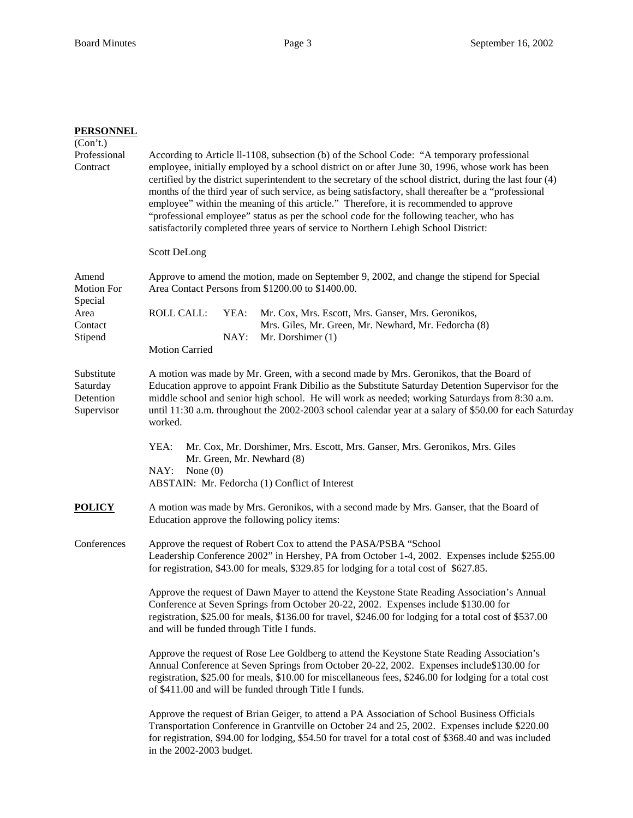| <u>PERSONNEL</u>                                  |                                                                                                                                                                                                                                                                                                                                                                                                                                                                                                                                                                                                                                                                                                   |
|---------------------------------------------------|---------------------------------------------------------------------------------------------------------------------------------------------------------------------------------------------------------------------------------------------------------------------------------------------------------------------------------------------------------------------------------------------------------------------------------------------------------------------------------------------------------------------------------------------------------------------------------------------------------------------------------------------------------------------------------------------------|
| (Con't.)<br>Professional<br>Contract              | According to Article II-1108, subsection (b) of the School Code: "A temporary professional<br>employee, initially employed by a school district on or after June 30, 1996, whose work has been<br>certified by the district superintendent to the secretary of the school district, during the last four (4)<br>months of the third year of such service, as being satisfactory, shall thereafter be a "professional<br>employee" within the meaning of this article." Therefore, it is recommended to approve<br>"professional employee" status as per the school code for the following teacher, who has<br>satisfactorily completed three years of service to Northern Lehigh School District: |
|                                                   | Scott DeLong                                                                                                                                                                                                                                                                                                                                                                                                                                                                                                                                                                                                                                                                                      |
| Amend<br><b>Motion For</b><br>Special             | Approve to amend the motion, made on September 9, 2002, and change the stipend for Special<br>Area Contact Persons from \$1200.00 to \$1400.00.                                                                                                                                                                                                                                                                                                                                                                                                                                                                                                                                                   |
| Area<br>Contact<br>Stipend                        | <b>ROLL CALL:</b><br>YEA:<br>Mr. Cox, Mrs. Escott, Mrs. Ganser, Mrs. Geronikos,<br>Mrs. Giles, Mr. Green, Mr. Newhard, Mr. Fedorcha (8)<br>Mr. Dorshimer (1)<br>NAY:<br><b>Motion Carried</b>                                                                                                                                                                                                                                                                                                                                                                                                                                                                                                     |
| Substitute<br>Saturday<br>Detention<br>Supervisor | A motion was made by Mr. Green, with a second made by Mrs. Geronikos, that the Board of<br>Education approve to appoint Frank Dibilio as the Substitute Saturday Detention Supervisor for the<br>middle school and senior high school. He will work as needed; working Saturdays from 8:30 a.m.<br>until 11:30 a.m. throughout the 2002-2003 school calendar year at a salary of \$50.00 for each Saturday<br>worked.                                                                                                                                                                                                                                                                             |
|                                                   | YEA:<br>Mr. Cox, Mr. Dorshimer, Mrs. Escott, Mrs. Ganser, Mrs. Geronikos, Mrs. Giles<br>Mr. Green, Mr. Newhard (8)<br>NAY:<br>None $(0)$<br>ABSTAIN: Mr. Fedorcha (1) Conflict of Interest                                                                                                                                                                                                                                                                                                                                                                                                                                                                                                        |
| POLICY                                            | A motion was made by Mrs. Geronikos, with a second made by Mrs. Ganser, that the Board of<br>Education approve the following policy items:                                                                                                                                                                                                                                                                                                                                                                                                                                                                                                                                                        |
| Conferences                                       | Approve the request of Robert Cox to attend the PASA/PSBA "School"<br>Leadership Conference 2002" in Hershey, PA from October 1-4, 2002. Expenses include \$255.00<br>for registration, \$43.00 for meals, \$329.85 for lodging for a total cost of \$627.85.                                                                                                                                                                                                                                                                                                                                                                                                                                     |
|                                                   | Approve the request of Dawn Mayer to attend the Keystone State Reading Association's Annual<br>Conference at Seven Springs from October 20-22, 2002. Expenses include \$130.00 for<br>registration, \$25.00 for meals, \$136.00 for travel, \$246.00 for lodging for a total cost of \$537.00<br>and will be funded through Title I funds.                                                                                                                                                                                                                                                                                                                                                        |
|                                                   | Approve the request of Rose Lee Goldberg to attend the Keystone State Reading Association's<br>Annual Conference at Seven Springs from October 20-22, 2002. Expenses include\$130.00 for<br>registration, \$25.00 for meals, \$10.00 for miscellaneous fees, \$246.00 for lodging for a total cost<br>of \$411.00 and will be funded through Title I funds.                                                                                                                                                                                                                                                                                                                                       |
|                                                   | Approve the request of Brian Geiger, to attend a PA Association of School Business Officials<br>Transportation Conference in Grantville on October 24 and 25, 2002. Expenses include \$220.00<br>for registration, \$94.00 for lodging, \$54.50 for travel for a total cost of \$368.40 and was included<br>in the 2002-2003 budget.                                                                                                                                                                                                                                                                                                                                                              |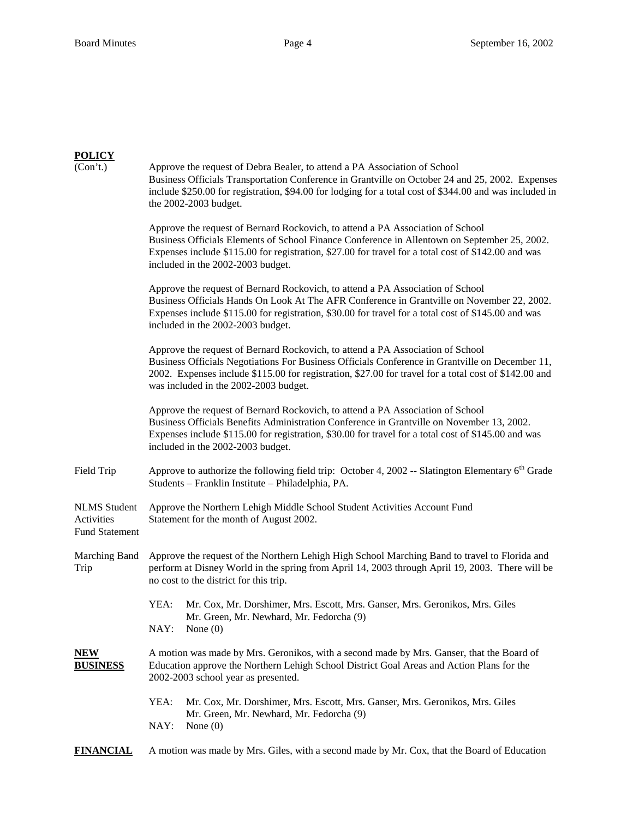## **POLICY**

| (Con't.)                                                   | Approve the request of Debra Bealer, to attend a PA Association of School<br>Business Officials Transportation Conference in Grantville on October 24 and 25, 2002. Expenses<br>include \$250.00 for registration, \$94.00 for lodging for a total cost of \$344.00 and was included in<br>the 2002-2003 budget.                    |  |
|------------------------------------------------------------|-------------------------------------------------------------------------------------------------------------------------------------------------------------------------------------------------------------------------------------------------------------------------------------------------------------------------------------|--|
|                                                            | Approve the request of Bernard Rockovich, to attend a PA Association of School<br>Business Officials Elements of School Finance Conference in Allentown on September 25, 2002.<br>Expenses include \$115.00 for registration, \$27.00 for travel for a total cost of \$142.00 and was<br>included in the 2002-2003 budget.          |  |
|                                                            | Approve the request of Bernard Rockovich, to attend a PA Association of School<br>Business Officials Hands On Look At The AFR Conference in Grantville on November 22, 2002.<br>Expenses include \$115.00 for registration, \$30.00 for travel for a total cost of \$145.00 and was<br>included in the 2002-2003 budget.            |  |
|                                                            | Approve the request of Bernard Rockovich, to attend a PA Association of School<br>Business Officials Negotiations For Business Officials Conference in Grantville on December 11,<br>2002. Expenses include \$115.00 for registration, \$27.00 for travel for a total cost of \$142.00 and<br>was included in the 2002-2003 budget. |  |
|                                                            | Approve the request of Bernard Rockovich, to attend a PA Association of School<br>Business Officials Benefits Administration Conference in Grantville on November 13, 2002.<br>Expenses include \$115.00 for registration, \$30.00 for travel for a total cost of \$145.00 and was<br>included in the 2002-2003 budget.             |  |
| Field Trip                                                 | Approve to authorize the following field trip: October 4, 2002 -- Slatington Elementary $6th$ Grade<br>Students - Franklin Institute - Philadelphia, PA.                                                                                                                                                                            |  |
| <b>NLMS</b> Student<br>Activities<br><b>Fund Statement</b> | Approve the Northern Lehigh Middle School Student Activities Account Fund<br>Statement for the month of August 2002.                                                                                                                                                                                                                |  |
| Marching Band<br>Trip                                      | Approve the request of the Northern Lehigh High School Marching Band to travel to Florida and<br>perform at Disney World in the spring from April 14, 2003 through April 19, 2003. There will be<br>no cost to the district for this trip.                                                                                          |  |
|                                                            | Mr. Cox, Mr. Dorshimer, Mrs. Escott, Mrs. Ganser, Mrs. Geronikos, Mrs. Giles<br>YEA:<br>Mr. Green, Mr. Newhard, Mr. Fedorcha (9)<br>NAY:<br>None $(0)$                                                                                                                                                                              |  |
| NEW<br><b>BUSINESS</b>                                     | A motion was made by Mrs. Geronikos, with a second made by Mrs. Ganser, that the Board of<br>Education approve the Northern Lehigh School District Goal Areas and Action Plans for the<br>2002-2003 school year as presented.                                                                                                       |  |
|                                                            | YEA:<br>Mr. Cox, Mr. Dorshimer, Mrs. Escott, Mrs. Ganser, Mrs. Geronikos, Mrs. Giles<br>Mr. Green, Mr. Newhard, Mr. Fedorcha (9)<br>NAY:<br>None $(0)$                                                                                                                                                                              |  |
| <b>FINANCIAL</b>                                           | A motion was made by Mrs. Giles, with a second made by Mr. Cox, that the Board of Education                                                                                                                                                                                                                                         |  |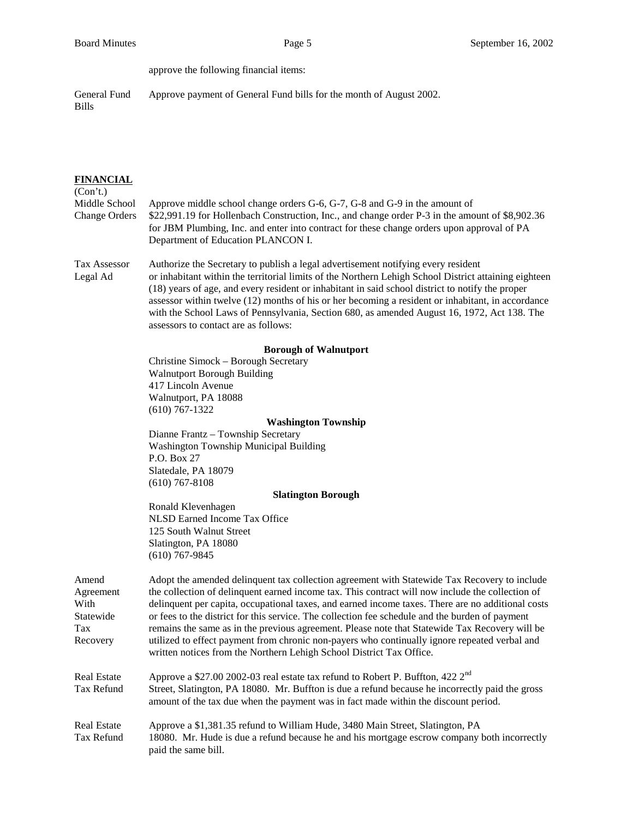approve the following financial items:

General Fund Approve payment of General Fund bills for the month of August 2002. Bills

| <b>FINANCIAL</b><br>(Con't.)                               |                                                                                                                                                                                                                                                                                                                                                                                                                                                                                                                                                                                                                                                                                     |  |  |
|------------------------------------------------------------|-------------------------------------------------------------------------------------------------------------------------------------------------------------------------------------------------------------------------------------------------------------------------------------------------------------------------------------------------------------------------------------------------------------------------------------------------------------------------------------------------------------------------------------------------------------------------------------------------------------------------------------------------------------------------------------|--|--|
| Middle School<br><b>Change Orders</b>                      | Approve middle school change orders G-6, G-7, G-8 and G-9 in the amount of<br>\$22,991.19 for Hollenbach Construction, Inc., and change order P-3 in the amount of \$8,902.36<br>for JBM Plumbing, Inc. and enter into contract for these change orders upon approval of PA<br>Department of Education PLANCON I.                                                                                                                                                                                                                                                                                                                                                                   |  |  |
| Tax Assessor<br>Legal Ad                                   | Authorize the Secretary to publish a legal advertisement notifying every resident<br>or inhabitant within the territorial limits of the Northern Lehigh School District attaining eighteen<br>(18) years of age, and every resident or inhabitant in said school district to notify the proper<br>assessor within twelve (12) months of his or her becoming a resident or inhabitant, in accordance<br>with the School Laws of Pennsylvania, Section 680, as amended August 16, 1972, Act 138. The<br>assessors to contact are as follows:                                                                                                                                          |  |  |
|                                                            | <b>Borough of Walnutport</b>                                                                                                                                                                                                                                                                                                                                                                                                                                                                                                                                                                                                                                                        |  |  |
|                                                            | Christine Simock - Borough Secretary                                                                                                                                                                                                                                                                                                                                                                                                                                                                                                                                                                                                                                                |  |  |
|                                                            | <b>Walnutport Borough Building</b>                                                                                                                                                                                                                                                                                                                                                                                                                                                                                                                                                                                                                                                  |  |  |
|                                                            | 417 Lincoln Avenue                                                                                                                                                                                                                                                                                                                                                                                                                                                                                                                                                                                                                                                                  |  |  |
|                                                            | Walnutport, PA 18088<br>$(610) 767 - 1322$                                                                                                                                                                                                                                                                                                                                                                                                                                                                                                                                                                                                                                          |  |  |
|                                                            | <b>Washington Township</b>                                                                                                                                                                                                                                                                                                                                                                                                                                                                                                                                                                                                                                                          |  |  |
|                                                            | Dianne Frantz - Township Secretary                                                                                                                                                                                                                                                                                                                                                                                                                                                                                                                                                                                                                                                  |  |  |
|                                                            | Washington Township Municipal Building                                                                                                                                                                                                                                                                                                                                                                                                                                                                                                                                                                                                                                              |  |  |
|                                                            | P.O. Box 27                                                                                                                                                                                                                                                                                                                                                                                                                                                                                                                                                                                                                                                                         |  |  |
|                                                            | Slatedale, PA 18079                                                                                                                                                                                                                                                                                                                                                                                                                                                                                                                                                                                                                                                                 |  |  |
|                                                            | $(610)$ 767-8108                                                                                                                                                                                                                                                                                                                                                                                                                                                                                                                                                                                                                                                                    |  |  |
|                                                            | <b>Slatington Borough</b><br>Ronald Klevenhagen                                                                                                                                                                                                                                                                                                                                                                                                                                                                                                                                                                                                                                     |  |  |
|                                                            | NLSD Earned Income Tax Office                                                                                                                                                                                                                                                                                                                                                                                                                                                                                                                                                                                                                                                       |  |  |
|                                                            | 125 South Walnut Street                                                                                                                                                                                                                                                                                                                                                                                                                                                                                                                                                                                                                                                             |  |  |
|                                                            | Slatington, PA 18080                                                                                                                                                                                                                                                                                                                                                                                                                                                                                                                                                                                                                                                                |  |  |
|                                                            | $(610)$ 767-9845                                                                                                                                                                                                                                                                                                                                                                                                                                                                                                                                                                                                                                                                    |  |  |
| Amend<br>Agreement<br>With<br>Statewide<br>Tax<br>Recovery | Adopt the amended delinquent tax collection agreement with Statewide Tax Recovery to include<br>the collection of delinquent earned income tax. This contract will now include the collection of<br>delinquent per capita, occupational taxes, and earned income taxes. There are no additional costs<br>or fees to the district for this service. The collection fee schedule and the burden of payment<br>remains the same as in the previous agreement. Please note that Statewide Tax Recovery will be<br>utilized to effect payment from chronic non-payers who continually ignore repeated verbal and<br>written notices from the Northern Lehigh School District Tax Office. |  |  |
| <b>Real Estate</b><br>Tax Refund                           | Approve a \$27.00 2002-03 real estate tax refund to Robert P. Buffton, 422 2 <sup>nd</sup><br>Street, Slatington, PA 18080. Mr. Buffton is due a refund because he incorrectly paid the gross<br>amount of the tax due when the payment was in fact made within the discount period.                                                                                                                                                                                                                                                                                                                                                                                                |  |  |
| <b>Real Estate</b><br>Tax Refund                           | Approve a \$1,381.35 refund to William Hude, 3480 Main Street, Slatington, PA<br>18080. Mr. Hude is due a refund because he and his mortgage escrow company both incorrectly<br>paid the same bill.                                                                                                                                                                                                                                                                                                                                                                                                                                                                                 |  |  |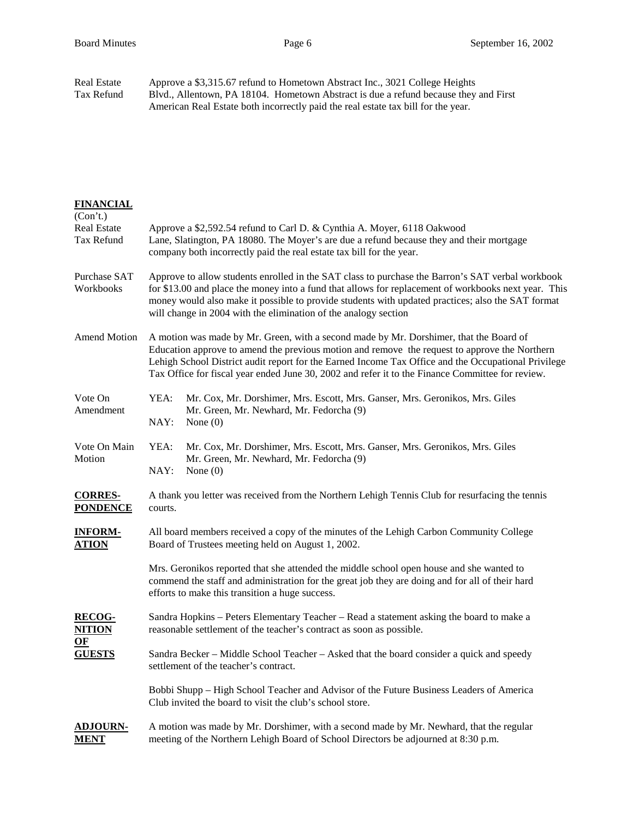Real Estate Approve a \$3,315.67 refund to Hometown Abstract Inc., 3021 College Heights<br>Tax Refund Blvd., Allentown, PA 18104. Hometown Abstract is due a refund because they Blvd., Allentown, PA 18104. Hometown Abstract is due a refund because they and First American Real Estate both incorrectly paid the real estate tax bill for the year.

| <b>FINANCIAL</b><br>(Con't.)               |                                                                                                                                                                                                                                                                                                                                                                                                    |  |
|--------------------------------------------|----------------------------------------------------------------------------------------------------------------------------------------------------------------------------------------------------------------------------------------------------------------------------------------------------------------------------------------------------------------------------------------------------|--|
| <b>Real Estate</b><br>Tax Refund           | Approve a \$2,592.54 refund to Carl D. & Cynthia A. Moyer, 6118 Oakwood<br>Lane, Slatington, PA 18080. The Moyer's are due a refund because they and their mortgage<br>company both incorrectly paid the real estate tax bill for the year.                                                                                                                                                        |  |
| Purchase SAT<br>Workbooks                  | Approve to allow students enrolled in the SAT class to purchase the Barron's SAT verbal workbook<br>for \$13.00 and place the money into a fund that allows for replacement of workbooks next year. This<br>money would also make it possible to provide students with updated practices; also the SAT format<br>will change in 2004 with the elimination of the analogy section                   |  |
| <b>Amend Motion</b>                        | A motion was made by Mr. Green, with a second made by Mr. Dorshimer, that the Board of<br>Education approve to amend the previous motion and remove the request to approve the Northern<br>Lehigh School District audit report for the Earned Income Tax Office and the Occupational Privilege<br>Tax Office for fiscal year ended June 30, 2002 and refer it to the Finance Committee for review. |  |
| Vote On<br>Amendment                       | YEA:<br>Mr. Cox, Mr. Dorshimer, Mrs. Escott, Mrs. Ganser, Mrs. Geronikos, Mrs. Giles<br>Mr. Green, Mr. Newhard, Mr. Fedorcha (9)<br>NAY:<br>None $(0)$                                                                                                                                                                                                                                             |  |
| Vote On Main<br>Motion                     | YEA:<br>Mr. Cox, Mr. Dorshimer, Mrs. Escott, Mrs. Ganser, Mrs. Geronikos, Mrs. Giles<br>Mr. Green, Mr. Newhard, Mr. Fedorcha (9)<br>NAY:<br>None $(0)$                                                                                                                                                                                                                                             |  |
| <b>CORRES-</b><br><b>PONDENCE</b>          | A thank you letter was received from the Northern Lehigh Tennis Club for resurfacing the tennis<br>courts.                                                                                                                                                                                                                                                                                         |  |
| <b>INFORM-</b><br><b>ATION</b>             | All board members received a copy of the minutes of the Lehigh Carbon Community College<br>Board of Trustees meeting held on August 1, 2002.                                                                                                                                                                                                                                                       |  |
|                                            | Mrs. Geronikos reported that she attended the middle school open house and she wanted to<br>commend the staff and administration for the great job they are doing and for all of their hard<br>efforts to make this transition a huge success.                                                                                                                                                     |  |
| <b>RECOG-</b><br><b>NITION</b>             | Sandra Hopkins - Peters Elementary Teacher - Read a statement asking the board to make a<br>reasonable settlement of the teacher's contract as soon as possible.                                                                                                                                                                                                                                   |  |
| $\underline{\mathbf{OF}}$<br><b>GUESTS</b> | Sandra Becker – Middle School Teacher – Asked that the board consider a quick and speedy<br>settlement of the teacher's contract.                                                                                                                                                                                                                                                                  |  |
|                                            | Bobbi Shupp – High School Teacher and Advisor of the Future Business Leaders of America<br>Club invited the board to visit the club's school store.                                                                                                                                                                                                                                                |  |
| <u>ADJOURN-</u><br><u>MENT</u>             | A motion was made by Mr. Dorshimer, with a second made by Mr. Newhard, that the regular<br>meeting of the Northern Lehigh Board of School Directors be adjourned at 8:30 p.m.                                                                                                                                                                                                                      |  |